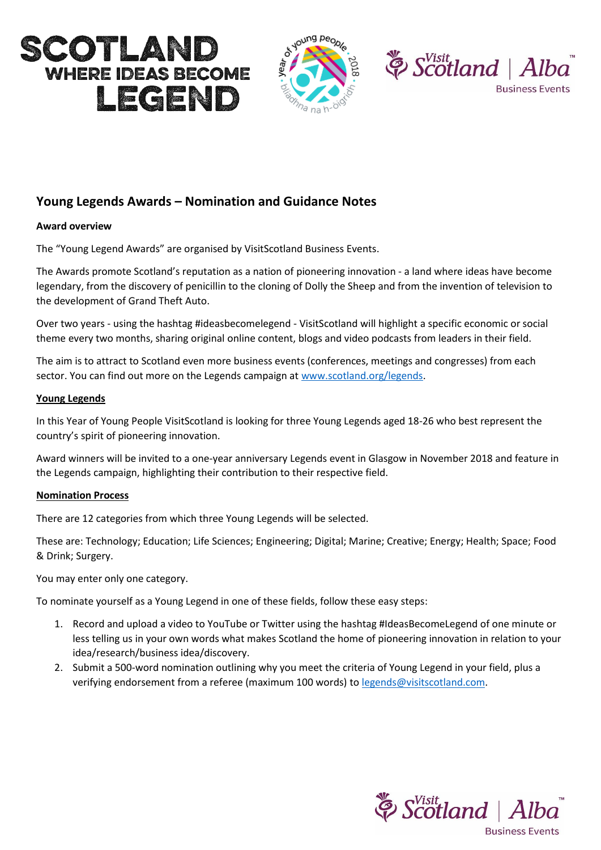





# **Young Legends Awards – Nomination and Guidance Notes**

## **Award overview**

The "Young Legend Awards" are organised by VisitScotland Business Events.

The Awards promote Scotland's reputation as a nation of pioneering innovation - a land where ideas have become legendary, from the discovery of penicillin to the cloning of Dolly the Sheep and from the invention of television to the development of Grand Theft Auto.

Over two years - using the hashtag #ideasbecomelegend - VisitScotland will highlight a specific economic or social theme every two months, sharing original online content, blogs and video podcasts from leaders in their field.

The aim is to attract to Scotland even more business events (conferences, meetings and congresses) from each sector. You can find out more on the Legends campaign at [www.scotland.org/legends.](http://www.scotland.org/legends)

## **Young Legends**

In this Year of Young People VisitScotland is looking for three Young Legends aged 18-26 who best represent the country's spirit of pioneering innovation.

Award winners will be invited to a one-year anniversary Legends event in Glasgow in November 2018 and feature in the Legends campaign, highlighting their contribution to their respective field.

#### **Nomination Process**

There are 12 categories from which three Young Legends will be selected.

These are: Technology; Education; Life Sciences; Engineering; Digital; Marine; Creative; Energy; Health; Space; Food & Drink; Surgery.

You may enter only one category.

To nominate yourself as a Young Legend in one of these fields, follow these easy steps:

- 1. Record and upload a video to YouTube or Twitter using the hashtag #IdeasBecomeLegend of one minute or less telling us in your own words what makes Scotland the home of pioneering innovation in relation to your idea/research/business idea/discovery.
- 2. Submit a 500-word nomination outlining why you meet the criteria of Young Legend in your field, plus a verifying endorsement from a referee (maximum 100 words) to [legends@visitscotland.com.](mailto:legends@visitscotland.com)

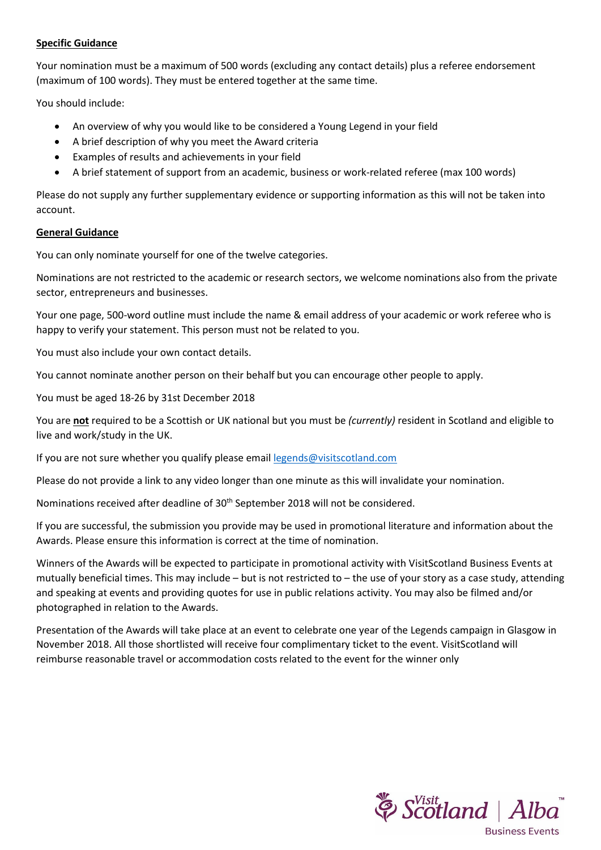## **Specific Guidance**

Your nomination must be a maximum of 500 words (excluding any contact details) plus a referee endorsement (maximum of 100 words). They must be entered together at the same time.

You should include:

- An overview of why you would like to be considered a Young Legend in your field
- A brief description of why you meet the Award criteria
- Examples of results and achievements in your field
- A brief statement of support from an academic, business or work-related referee (max 100 words)

Please do not supply any further supplementary evidence or supporting information as this will not be taken into account.

#### **General Guidance**

You can only nominate yourself for one of the twelve categories.

Nominations are not restricted to the academic or research sectors, we welcome nominations also from the private sector, entrepreneurs and businesses.

Your one page, 500-word outline must include the name & email address of your academic or work referee who is happy to verify your statement. This person must not be related to you.

You must also include your own contact details.

You cannot nominate another person on their behalf but you can encourage other people to apply.

You must be aged 18-26 by 31st December 2018

You are **not** required to be a Scottish or UK national but you must be *(currently)* resident in Scotland and eligible to live and work/study in the UK.

If you are not sure whether you qualify please email [legends@visitscotland.com](mailto:legends@visitscotland.com)

Please do not provide a link to any video longer than one minute as this will invalidate your nomination.

Nominations received after deadline of 30<sup>th</sup> September 2018 will not be considered.

If you are successful, the submission you provide may be used in promotional literature and information about the Awards. Please ensure this information is correct at the time of nomination.

Winners of the Awards will be expected to participate in promotional activity with VisitScotland Business Events at mutually beneficial times. This may include – but is not restricted to – the use of your story as a case study, attending and speaking at events and providing quotes for use in public relations activity. You may also be filmed and/or photographed in relation to the Awards.

Presentation of the Awards will take place at an event to celebrate one year of the Legends campaign in Glasgow in November 2018. All those shortlisted will receive four complimentary ticket to the event. VisitScotland will reimburse reasonable travel or accommodation costs related to the event for the winner only